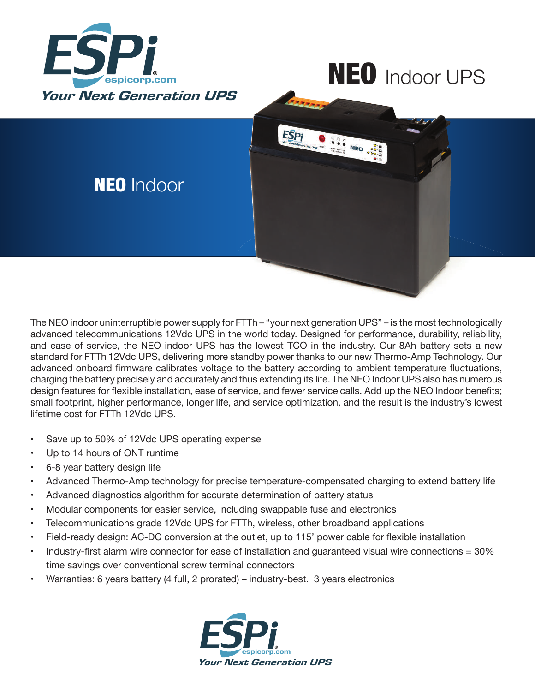

## NEO Indoor UPS



The NEO indoor uninterruptible power supply for FTTh – "your next generation UPS" – is the most technologically advanced telecommunications 12Vdc UPS in the world today. Designed for performance, durability, reliability, and ease of service, the NEO indoor UPS has the lowest TCO in the industry. Our 8Ah battery sets a new standard for FTTh 12Vdc UPS, delivering more standby power thanks to our new Thermo-Amp Technology. Our advanced onboard firmware calibrates voltage to the battery according to ambient temperature fluctuations, charging the battery precisely and accurately and thus extending its life. The NEO Indoor UPS also has numerous design features for flexible installation, ease of service, and fewer service calls. Add up the NEO Indoor benefits; small footprint, higher performance, longer life, and service optimization, and the result is the industry's lowest lifetime cost for FTTh 12Vdc UPS.

- Save up to 50% of 12Vdc UPS operating expense
- Up to 14 hours of ONT runtime
- 6-8 year battery design life
- Advanced Thermo-Amp technology for precise temperature-compensated charging to extend battery life
- Advanced diagnostics algorithm for accurate determination of battery status
- Modular components for easier service, including swappable fuse and electronics
- Telecommunications grade 12Vdc UPS for FTTh, wireless, other broadband applications
- Field-ready design: AC-DC conversion at the outlet, up to 115' power cable for flexible installation
- Industry-first alarm wire connector for ease of installation and quaranteed visual wire connections  $= 30\%$ time savings over conventional screw terminal connectors
- Warranties: 6 years battery (4 full, 2 prorated) industry-best. 3 years electronics